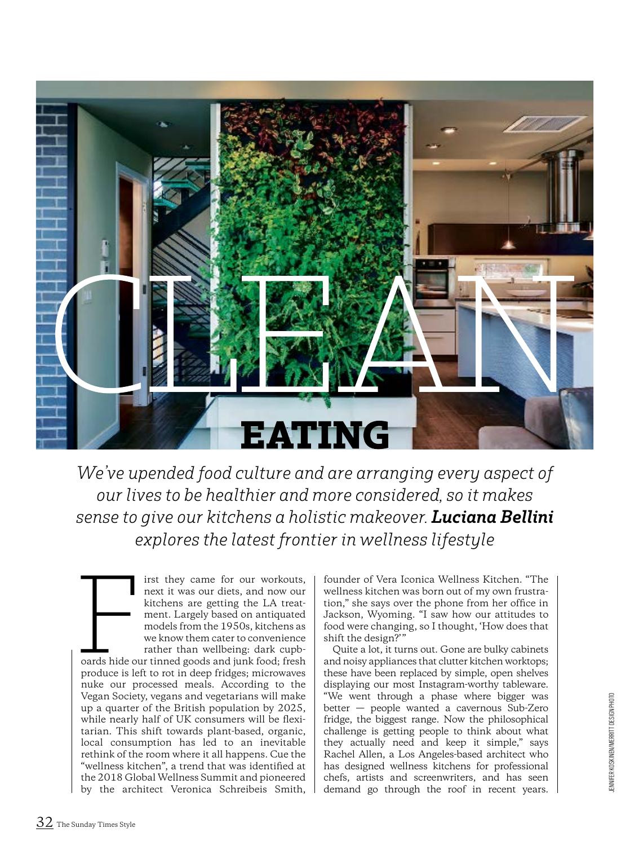

*We've upended food culture and are arranging every aspect of our lives to be healthier and more considered, so it makes sense to give our kitchens a holistic makeover. Luciana Bellini explores the latest frontier in wellness lifestyle* 

irst they came for our workouts, next it was our diets, and now our kitchens are getting the LA treatment. Largely based on antiquated models from the 1950s, kitchens as we know them cater to convenience rather than wellbeing: dark cupbirst they came for our workouts,<br>next it was our diets, and now our<br>kitchens are getting the LA treat-<br>ment. Largely based on antiquated<br>models from the 1950s, kitchens as<br>we know them cater to convenience<br>rather than well produce is left to rot in deep fridges; microwaves nuke our processed meals. According to the Vegan Society, vegans and vegetarians will make up a quarter of the British population by 2025, while nearly half of UK consumers will be flexitarian. This shift towards plant-based, organic, local consumption has led to an inevitable rethink of the room where it all happens. Cue the "wellness kitchen", a trend that was identified at the 2018 Global Wellness Summit and pioneered by the architect Veronica Schreibeis Smith,

founder of Vera Iconica Wellness Kitchen. "The wellness kitchen was born out of my own frustration," she says over the phone from her office in Jackson, Wyoming. "I saw how our attitudes to food were changing, so I thought, 'How does that shift the design?"

Quite a lot, it turns out. Gone are bulky cabinets and noisy appliances that clutter kitchen worktops; these have been replaced by simple, open shelves displaying our most Instagram-worthy tableware. "We went through a phase where bigger was better — people wanted a cavernous Sub-Zero fridge, the biggest range. Now the philosophical challenge is getting people to think about what they actually need and keep it simple," says Rachel Allen, a Los Angeles-based architect who has designed wellness kitchens for professional chefs, artists and screenwriters, and has seen demand go through the roof in recent years.